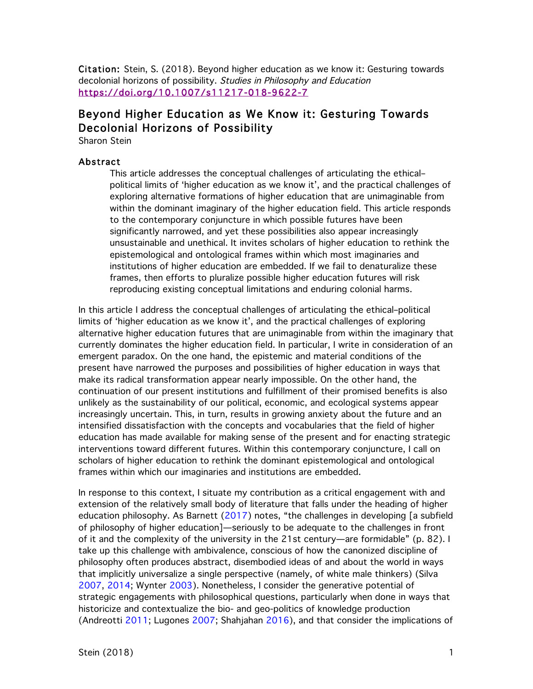Citation: Stein, S. (2018). Beyond higher education as we know it: Gesturing towards decolonial horizons of possibility. Studies in Philosophy and Education https://doi.org/10.1007/s11217-018-9622-7

# Beyond Higher Education as We Know it: Gesturing Towards Decolonial Horizons of Possibility

Sharon Stein

#### Abstract

This article addresses the conceptual challenges of articulating the ethical– political limits of 'higher education as we know it', and the practical challenges of exploring alternative formations of higher education that are unimaginable from within the dominant imaginary of the higher education field. This article responds to the contemporary conjuncture in which possible futures have been significantly narrowed, and yet these possibilities also appear increasingly unsustainable and unethical. It invites scholars of higher education to rethink the epistemological and ontological frames within which most imaginaries and institutions of higher education are embedded. If we fail to denaturalize these frames, then efforts to pluralize possible higher education futures will risk reproducing existing conceptual limitations and enduring colonial harms.

In this article I address the conceptual challenges of articulating the ethical–political limits of 'higher education as we know it', and the practical challenges of exploring alternative higher education futures that are unimaginable from within the imaginary that currently dominates the higher education field. In particular, I write in consideration of an emergent paradox. On the one hand, the epistemic and material conditions of the present have narrowed the purposes and possibilities of higher education in ways that make its radical transformation appear nearly impossible. On the other hand, the continuation of our present institutions and fulfillment of their promised benefits is also unlikely as the sustainability of our political, economic, and ecological systems appear increasingly uncertain. This, in turn, results in growing anxiety about the future and an intensified dissatisfaction with the concepts and vocabularies that the field of higher education has made available for making sense of the present and for enacting strategic interventions toward different futures. Within this contemporary conjuncture, I call on scholars of higher education to rethink the dominant epistemological and ontological frames within which our imaginaries and institutions are embedded.

In response to this context, I situate my contribution as a critical engagement with and extension of the relatively small body of literature that falls under the heading of higher education philosophy. As Barnett (2017) notes, "the challenges in developing [a subfield of philosophy of higher education]—seriously to be adequate to the challenges in front of it and the complexity of the university in the 21st century—are formidable" (p. 82). I take up this challenge with ambivalence, conscious of how the canonized discipline of philosophy often produces abstract, disembodied ideas of and about the world in ways that implicitly universalize a single perspective (namely, of white male thinkers) (Silva 2007, 2014; Wynter 2003). Nonetheless, I consider the generative potential of strategic engagements with philosophical questions, particularly when done in ways that historicize and contextualize the bio- and geo-politics of knowledge production (Andreotti 2011; Lugones 2007; Shahjahan 2016), and that consider the implications of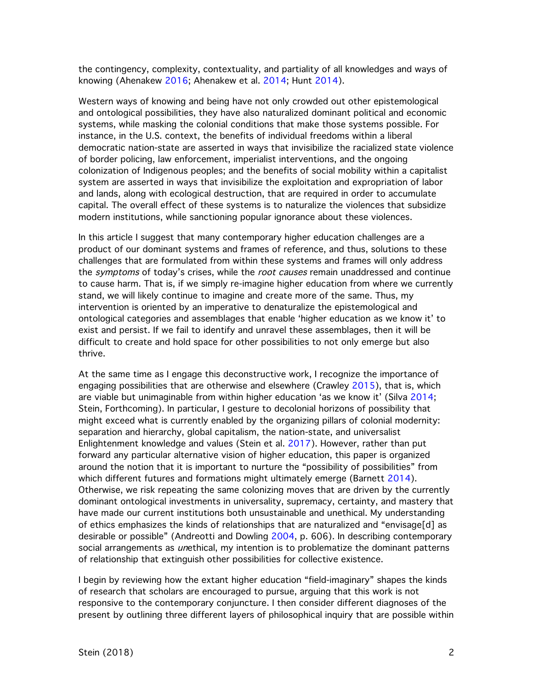the contingency, complexity, contextuality, and partiality of all knowledges and ways of knowing (Ahenakew 2016; Ahenakew et al. 2014; Hunt 2014).

Western ways of knowing and being have not only crowded out other epistemological and ontological possibilities, they have also naturalized dominant political and economic systems, while masking the colonial conditions that make those systems possible. For instance, in the U.S. context, the benefits of individual freedoms within a liberal democratic nation-state are asserted in ways that invisibilize the racialized state violence of border policing, law enforcement, imperialist interventions, and the ongoing colonization of Indigenous peoples; and the benefits of social mobility within a capitalist system are asserted in ways that invisibilize the exploitation and expropriation of labor and lands, along with ecological destruction, that are required in order to accumulate capital. The overall effect of these systems is to naturalize the violences that subsidize modern institutions, while sanctioning popular ignorance about these violences.

In this article I suggest that many contemporary higher education challenges are a product of our dominant systems and frames of reference, and thus, solutions to these challenges that are formulated from within these systems and frames will only address the symptoms of today's crises, while the root causes remain unaddressed and continue to cause harm. That is, if we simply re-imagine higher education from where we currently stand, we will likely continue to imagine and create more of the same. Thus, my intervention is oriented by an imperative to denaturalize the epistemological and ontological categories and assemblages that enable 'higher education as we know it' to exist and persist. If we fail to identify and unravel these assemblages, then it will be difficult to create and hold space for other possibilities to not only emerge but also thrive.

At the same time as I engage this deconstructive work, I recognize the importance of engaging possibilities that are otherwise and elsewhere (Crawley 2015), that is, which are viable but unimaginable from within higher education 'as we know it' (Silva 2014; Stein, Forthcoming). In particular, I gesture to decolonial horizons of possibility that might exceed what is currently enabled by the organizing pillars of colonial modernity: separation and hierarchy, global capitalism, the nation-state, and universalist Enlightenment knowledge and values (Stein et al. 2017). However, rather than put forward any particular alternative vision of higher education, this paper is organized around the notion that it is important to nurture the "possibility of possibilities" from which different futures and formations might ultimately emerge (Barnett 2014). Otherwise, we risk repeating the same colonizing moves that are driven by the currently dominant ontological investments in universality, supremacy, certainty, and mastery that have made our current institutions both unsustainable and unethical. My understanding of ethics emphasizes the kinds of relationships that are naturalized and "envisage[d] as desirable or possible" (Andreotti and Dowling 2004, p. 606). In describing contemporary social arrangements as *un*ethical, my intention is to problematize the dominant patterns of relationship that extinguish other possibilities for collective existence.

I begin by reviewing how the extant higher education "field-imaginary" shapes the kinds of research that scholars are encouraged to pursue, arguing that this work is not responsive to the contemporary conjuncture. I then consider different diagnoses of the present by outlining three different layers of philosophical inquiry that are possible within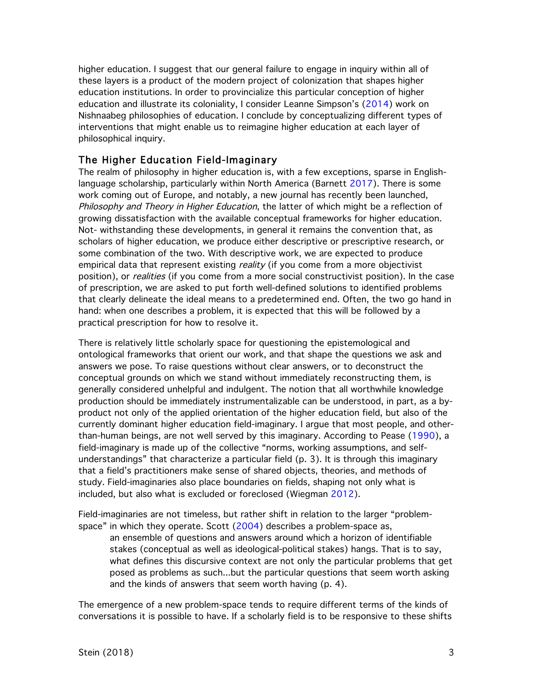higher education. I suggest that our general failure to engage in inquiry within all of these layers is a product of the modern project of colonization that shapes higher education institutions. In order to provincialize this particular conception of higher education and illustrate its coloniality, I consider Leanne Simpson's (2014) work on Nishnaabeg philosophies of education. I conclude by conceptualizing different types of interventions that might enable us to reimagine higher education at each layer of philosophical inquiry.

# The Higher Education Field‐Imaginary

The realm of philosophy in higher education is, with a few exceptions, sparse in Englishlanguage scholarship, particularly within North America (Barnett 2017). There is some work coming out of Europe, and notably, a new journal has recently been launched, Philosophy and Theory in Higher Education, the latter of which might be a reflection of growing dissatisfaction with the available conceptual frameworks for higher education. Not- withstanding these developments, in general it remains the convention that, as scholars of higher education, we produce either descriptive or prescriptive research, or some combination of the two. With descriptive work, we are expected to produce empirical data that represent existing *reality* (if you come from a more objectivist position), or *realities* (if you come from a more social constructivist position). In the case of prescription, we are asked to put forth well-defined solutions to identified problems that clearly delineate the ideal means to a predetermined end. Often, the two go hand in hand: when one describes a problem, it is expected that this will be followed by a practical prescription for how to resolve it.

There is relatively little scholarly space for questioning the epistemological and ontological frameworks that orient our work, and that shape the questions we ask and answers we pose. To raise questions without clear answers, or to deconstruct the conceptual grounds on which we stand without immediately reconstructing them, is generally considered unhelpful and indulgent. The notion that all worthwhile knowledge production should be immediately instrumentalizable can be understood, in part, as a byproduct not only of the applied orientation of the higher education field, but also of the currently dominant higher education field-imaginary. I argue that most people, and otherthan-human beings, are not well served by this imaginary. According to Pease (1990), a field-imaginary is made up of the collective "norms, working assumptions, and selfunderstandings" that characterize a particular field (p. 3). It is through this imaginary that a field's practitioners make sense of shared objects, theories, and methods of study. Field-imaginaries also place boundaries on fields, shaping not only what is included, but also what is excluded or foreclosed (Wiegman 2012).

Field-imaginaries are not timeless, but rather shift in relation to the larger "problemspace" in which they operate. Scott (2004) describes a problem-space as, an ensemble of questions and answers around which a horizon of identifiable stakes (conceptual as well as ideological-political stakes) hangs. That is to say, what defines this discursive context are not only the particular problems that get posed as problems as such...but the particular questions that seem worth asking and the kinds of answers that seem worth having (p. 4).

The emergence of a new problem-space tends to require different terms of the kinds of conversations it is possible to have. If a scholarly field is to be responsive to these shifts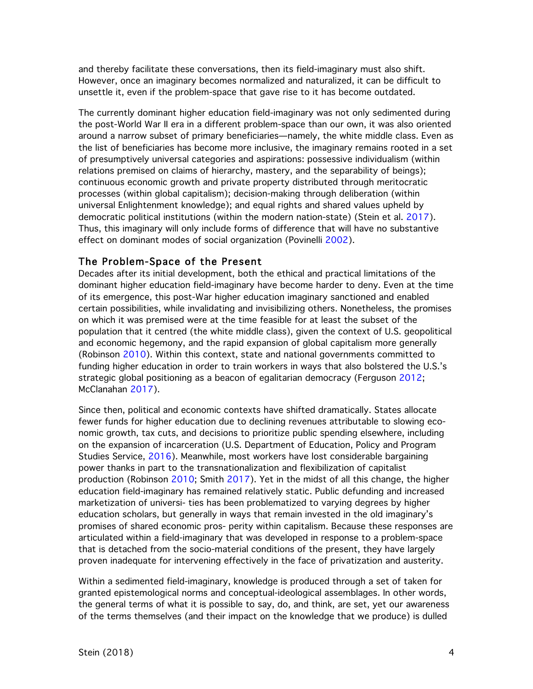and thereby facilitate these conversations, then its field-imaginary must also shift. However, once an imaginary becomes normalized and naturalized, it can be difficult to unsettle it, even if the problem-space that gave rise to it has become outdated.

The currently dominant higher education field-imaginary was not only sedimented during the post-World War II era in a different problem-space than our own, it was also oriented around a narrow subset of primary beneficiaries—namely, the white middle class. Even as the list of beneficiaries has become more inclusive, the imaginary remains rooted in a set of presumptively universal categories and aspirations: possessive individualism (within relations premised on claims of hierarchy, mastery, and the separability of beings); continuous economic growth and private property distributed through meritocratic processes (within global capitalism); decision-making through deliberation (within universal Enlightenment knowledge); and equal rights and shared values upheld by democratic political institutions (within the modern nation-state) (Stein et al. 2017). Thus, this imaginary will only include forms of difference that will have no substantive effect on dominant modes of social organization (Povinelli 2002).

#### The Problem‐Space of the Present

Decades after its initial development, both the ethical and practical limitations of the dominant higher education field-imaginary have become harder to deny. Even at the time of its emergence, this post-War higher education imaginary sanctioned and enabled certain possibilities, while invalidating and invisibilizing others. Nonetheless, the promises on which it was premised were at the time feasible for at least the subset of the population that it centred (the white middle class), given the context of U.S. geopolitical and economic hegemony, and the rapid expansion of global capitalism more generally (Robinson 2010). Within this context, state and national governments committed to funding higher education in order to train workers in ways that also bolstered the U.S.'s strategic global positioning as a beacon of egalitarian democracy (Ferguson 2012; McClanahan 2017).

Since then, political and economic contexts have shifted dramatically. States allocate fewer funds for higher education due to declining revenues attributable to slowing economic growth, tax cuts, and decisions to prioritize public spending elsewhere, including on the expansion of incarceration (U.S. Department of Education, Policy and Program Studies Service, 2016). Meanwhile, most workers have lost considerable bargaining power thanks in part to the transnationalization and flexibilization of capitalist production (Robinson 2010; Smith 2017). Yet in the midst of all this change, the higher education field-imaginary has remained relatively static. Public defunding and increased marketization of universi- ties has been problematized to varying degrees by higher education scholars, but generally in ways that remain invested in the old imaginary's promises of shared economic pros- perity within capitalism. Because these responses are articulated within a field-imaginary that was developed in response to a problem-space that is detached from the socio-material conditions of the present, they have largely proven inadequate for intervening effectively in the face of privatization and austerity.

Within a sedimented field-imaginary, knowledge is produced through a set of taken for granted epistemological norms and conceptual-ideological assemblages. In other words, the general terms of what it is possible to say, do, and think, are set, yet our awareness of the terms themselves (and their impact on the knowledge that we produce) is dulled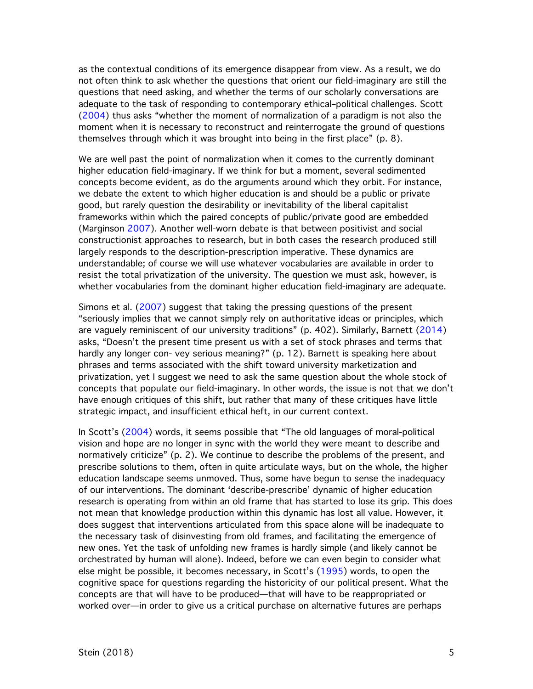as the contextual conditions of its emergence disappear from view. As a result, we do not often think to ask whether the questions that orient our field-imaginary are still the questions that need asking, and whether the terms of our scholarly conversations are adequate to the task of responding to contemporary ethical–political challenges. Scott (2004) thus asks "whether the moment of normalization of a paradigm is not also the moment when it is necessary to reconstruct and reinterrogate the ground of questions themselves through which it was brought into being in the first place" (p. 8).

We are well past the point of normalization when it comes to the currently dominant higher education field-imaginary. If we think for but a moment, several sedimented concepts become evident, as do the arguments around which they orbit. For instance, we debate the extent to which higher education is and should be a public or private good, but rarely question the desirability or inevitability of the liberal capitalist frameworks within which the paired concepts of public/private good are embedded (Marginson 2007). Another well-worn debate is that between positivist and social constructionist approaches to research, but in both cases the research produced still largely responds to the description-prescription imperative. These dynamics are understandable; of course we will use whatever vocabularies are available in order to resist the total privatization of the university. The question we must ask, however, is whether vocabularies from the dominant higher education field-imaginary are adequate.

Simons et al. (2007) suggest that taking the pressing questions of the present "seriously implies that we cannot simply rely on authoritative ideas or principles, which are vaguely reminiscent of our university traditions" (p. 402). Similarly, Barnett (2014) asks, "Doesn't the present time present us with a set of stock phrases and terms that hardly any longer con- vey serious meaning?" (p. 12). Barnett is speaking here about phrases and terms associated with the shift toward university marketization and privatization, yet I suggest we need to ask the same question about the whole stock of concepts that populate our field-imaginary. In other words, the issue is not that we don't have enough critiques of this shift, but rather that many of these critiques have little strategic impact, and insufficient ethical heft, in our current context.

In Scott's (2004) words, it seems possible that "The old languages of moral-political vision and hope are no longer in sync with the world they were meant to describe and normatively criticize" (p. 2). We continue to describe the problems of the present, and prescribe solutions to them, often in quite articulate ways, but on the whole, the higher education landscape seems unmoved. Thus, some have begun to sense the inadequacy of our interventions. The dominant 'describe-prescribe' dynamic of higher education research is operating from within an old frame that has started to lose its grip. This does not mean that knowledge production within this dynamic has lost all value. However, it does suggest that interventions articulated from this space alone will be inadequate to the necessary task of disinvesting from old frames, and facilitating the emergence of new ones. Yet the task of unfolding new frames is hardly simple (and likely cannot be orchestrated by human will alone). Indeed, before we can even begin to consider what else might be possible, it becomes necessary, in Scott's (1995) words, to open the cognitive space for questions regarding the historicity of our political present. What the concepts are that will have to be produced—that will have to be reappropriated or worked over—in order to give us a critical purchase on alternative futures are perhaps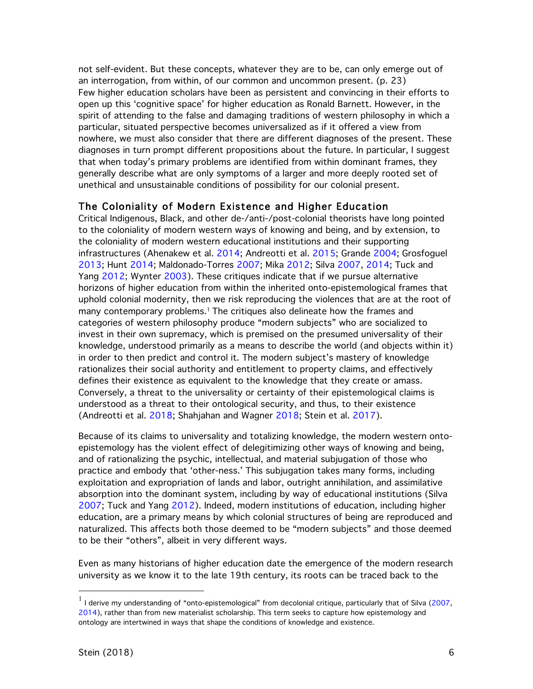not self-evident. But these concepts, whatever they are to be, can only emerge out of an interrogation, from within, of our common and uncommon present. (p. 23) Few higher education scholars have been as persistent and convincing in their efforts to open up this 'cognitive space' for higher education as Ronald Barnett. However, in the spirit of attending to the false and damaging traditions of western philosophy in which a particular, situated perspective becomes universalized as if it offered a view from nowhere, we must also consider that there are different diagnoses of the present. These diagnoses in turn prompt different propositions about the future. In particular, I suggest that when today's primary problems are identified from within dominant frames, they generally describe what are only symptoms of a larger and more deeply rooted set of unethical and unsustainable conditions of possibility for our colonial present.

#### The Coloniality of Modern Existence and Higher Education

Critical Indigenous, Black, and other de-/anti-/post-colonial theorists have long pointed to the coloniality of modern western ways of knowing and being, and by extension, to the coloniality of modern western educational institutions and their supporting infrastructures (Ahenakew et al. 2014; Andreotti et al. 2015; Grande 2004; Grosfoguel 2013; Hunt 2014; Maldonado-Torres 2007; Mika 2012; Silva 2007, 2014; Tuck and Yang 2012; Wynter 2003). These critiques indicate that if we pursue alternative horizons of higher education from within the inherited onto-epistemological frames that uphold colonial modernity, then we risk reproducing the violences that are at the root of many contemporary problems.<sup>1</sup> The critiques also delineate how the frames and categories of western philosophy produce "modern subjects" who are socialized to invest in their own supremacy, which is premised on the presumed universality of their knowledge, understood primarily as a means to describe the world (and objects within it) in order to then predict and control it. The modern subject's mastery of knowledge rationalizes their social authority and entitlement to property claims, and effectively defines their existence as equivalent to the knowledge that they create or amass. Conversely, a threat to the universality or certainty of their epistemological claims is understood as a threat to their ontological security, and thus, to their existence (Andreotti et al. 2018; Shahjahan and Wagner 2018; Stein et al. 2017).

Because of its claims to universality and totalizing knowledge, the modern western ontoepistemology has the violent effect of delegitimizing other ways of knowing and being, and of rationalizing the psychic, intellectual, and material subjugation of those who practice and embody that 'other-ness.' This subjugation takes many forms, including exploitation and expropriation of lands and labor, outright annihilation, and assimilative absorption into the dominant system, including by way of educational institutions (Silva 2007; Tuck and Yang 2012). Indeed, modern institutions of education, including higher education, are a primary means by which colonial structures of being are reproduced and naturalized. This affects both those deemed to be "modern subjects" and those deemed to be their "others", albeit in very different ways.

Even as many historians of higher education date the emergence of the modern research university as we know it to the late 19th century, its roots can be traced back to the

 $<sup>1</sup>$  I derive my understanding of "onto-epistemological" from decolonial critique, particularly that of Silva (2007,</sup> 2014), rather than from new materialist scholarship. This term seeks to capture how epistemology and ontology are intertwined in ways that shape the conditions of knowledge and existence.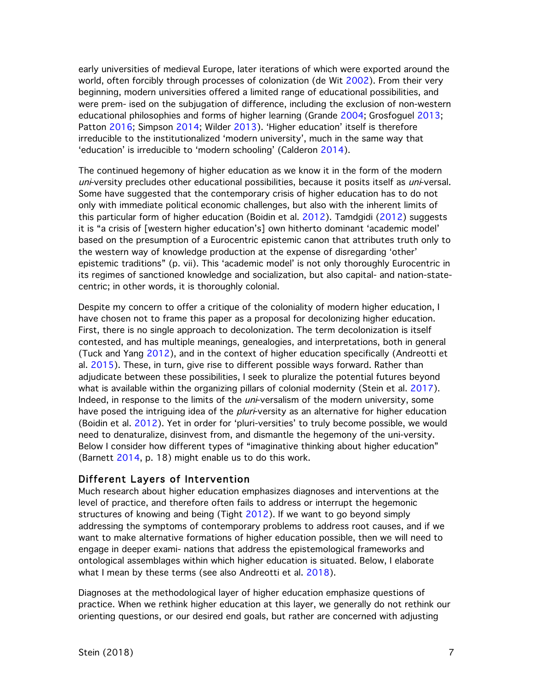early universities of medieval Europe, later iterations of which were exported around the world, often forcibly through processes of colonization (de Wit 2002). From their very beginning, modern universities offered a limited range of educational possibilities, and were prem- ised on the subjugation of difference, including the exclusion of non-western educational philosophies and forms of higher learning (Grande 2004; Grosfoguel 2013; Patton 2016; Simpson 2014; Wilder 2013). 'Higher education' itself is therefore irreducible to the institutionalized 'modern university', much in the same way that 'education' is irreducible to 'modern schooling' (Calderon 2014).

The continued hegemony of higher education as we know it in the form of the modern uni-versity precludes other educational possibilities, because it posits itself as uni-versal. Some have suggested that the contemporary crisis of higher education has to do not only with immediate political economic challenges, but also with the inherent limits of this particular form of higher education (Boidin et al. 2012). Tamdgidi (2012) suggests it is "a crisis of [western higher education's] own hitherto dominant 'academic model' based on the presumption of a Eurocentric epistemic canon that attributes truth only to the western way of knowledge production at the expense of disregarding 'other' epistemic traditions" (p. vii). This 'academic model' is not only thoroughly Eurocentric in its regimes of sanctioned knowledge and socialization, but also capital- and nation-statecentric; in other words, it is thoroughly colonial.

Despite my concern to offer a critique of the coloniality of modern higher education, I have chosen not to frame this paper as a proposal for decolonizing higher education. First, there is no single approach to decolonization. The term decolonization is itself contested, and has multiple meanings, genealogies, and interpretations, both in general (Tuck and Yang 2012), and in the context of higher education specifically (Andreotti et al. 2015). These, in turn, give rise to different possible ways forward. Rather than adjudicate between these possibilities, I seek to pluralize the potential futures beyond what is available within the organizing pillars of colonial modernity (Stein et al. 2017). Indeed, in response to the limits of the *uni*-versalism of the modern university, some have posed the intriguing idea of the *pluri*-versity as an alternative for higher education (Boidin et al. 2012). Yet in order for 'pluri-versities' to truly become possible, we would need to denaturalize, disinvest from, and dismantle the hegemony of the uni-versity. Below I consider how different types of "imaginative thinking about higher education" (Barnett 2014, p. 18) might enable us to do this work.

#### Different Layers of Intervention

Much research about higher education emphasizes diagnoses and interventions at the level of practice, and therefore often fails to address or interrupt the hegemonic structures of knowing and being (Tight 2012). If we want to go beyond simply addressing the symptoms of contemporary problems to address root causes, and if we want to make alternative formations of higher education possible, then we will need to engage in deeper exami- nations that address the epistemological frameworks and ontological assemblages within which higher education is situated. Below, I elaborate what I mean by these terms (see also Andreotti et al. 2018).

Diagnoses at the methodological layer of higher education emphasize questions of practice. When we rethink higher education at this layer, we generally do not rethink our orienting questions, or our desired end goals, but rather are concerned with adjusting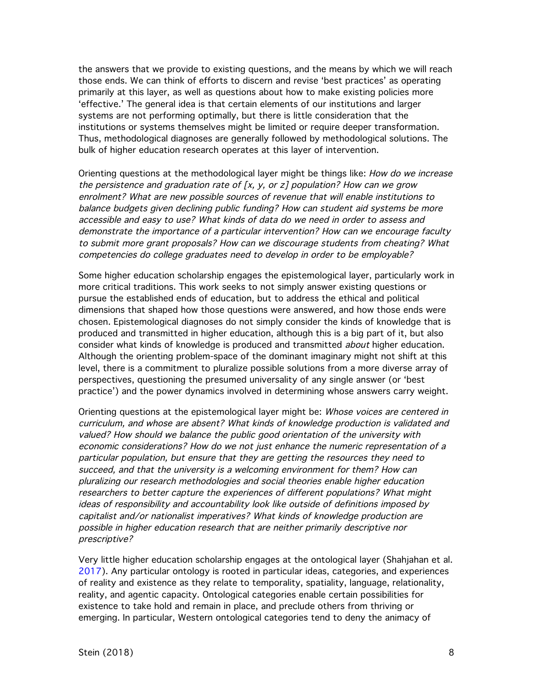the answers that we provide to existing questions, and the means by which we will reach those ends. We can think of efforts to discern and revise 'best practices' as operating primarily at this layer, as well as questions about how to make existing policies more 'effective.' The general idea is that certain elements of our institutions and larger systems are not performing optimally, but there is little consideration that the institutions or systems themselves might be limited or require deeper transformation. Thus, methodological diagnoses are generally followed by methodological solutions. The bulk of higher education research operates at this layer of intervention.

Orienting questions at the methodological layer might be things like: How do we increase the persistence and graduation rate of  $[x, y, or z]$  population? How can we grow enrolment? What are new possible sources of revenue that will enable institutions to balance budgets given declining public funding? How can student aid systems be more accessible and easy to use? What kinds of data do we need in order to assess and demonstrate the importance of a particular intervention? How can we encourage faculty to submit more grant proposals? How can we discourage students from cheating? What competencies do college graduates need to develop in order to be employable?

Some higher education scholarship engages the epistemological layer, particularly work in more critical traditions. This work seeks to not simply answer existing questions or pursue the established ends of education, but to address the ethical and political dimensions that shaped how those questions were answered, and how those ends were chosen. Epistemological diagnoses do not simply consider the kinds of knowledge that is produced and transmitted in higher education, although this is a big part of it, but also consider what kinds of knowledge is produced and transmitted *about* higher education. Although the orienting problem-space of the dominant imaginary might not shift at this level, there is a commitment to pluralize possible solutions from a more diverse array of perspectives, questioning the presumed universality of any single answer (or 'best practice') and the power dynamics involved in determining whose answers carry weight.

Orienting questions at the epistemological layer might be: Whose voices are centered in curriculum, and whose are absent? What kinds of knowledge production is validated and valued? How should we balance the public good orientation of the university with economic considerations? How do we not just enhance the numeric representation of a particular population, but ensure that they are getting the resources they need to succeed, and that the university is a welcoming environment for them? How can pluralizing our research methodologies and social theories enable higher education researchers to better capture the experiences of different populations? What might ideas of responsibility and accountability look like outside of definitions imposed by capitalist and/or nationalist imperatives? What kinds of knowledge production are possible in higher education research that are neither primarily descriptive nor prescriptive?

Very little higher education scholarship engages at the ontological layer (Shahjahan et al. 2017). Any particular ontology is rooted in particular ideas, categories, and experiences of reality and existence as they relate to temporality, spatiality, language, relationality, reality, and agentic capacity. Ontological categories enable certain possibilities for existence to take hold and remain in place, and preclude others from thriving or emerging. In particular, Western ontological categories tend to deny the animacy of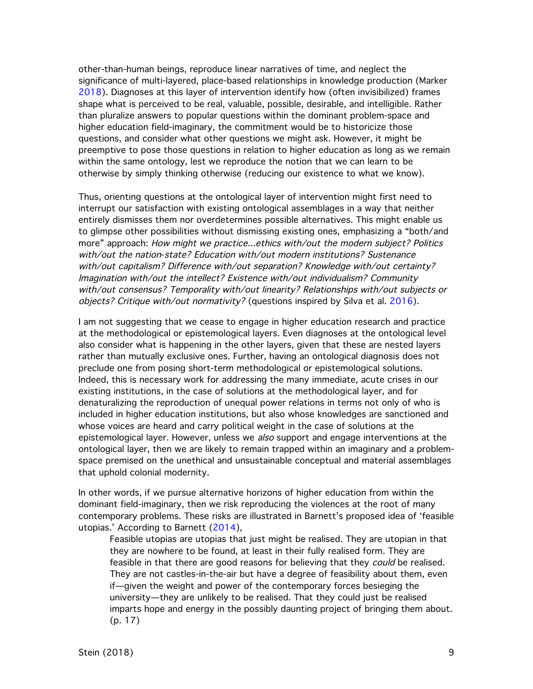other-than-human beings, reproduce linear narratives of time, and neglect the significance of multi-layered, place-based relationships in knowledge production (Marker 2018). Diagnoses at this layer of intervention identify how (often invisibilized) frames shape what is perceived to be real, valuable, possible, desirable, and intelligible. Rather than pluralize answers to popular questions within the dominant problem-space and higher education field-imaginary, the commitment would be to historicize those questions, and consider what other questions we might ask. However, it might be preemptive to pose those questions in relation to higher education as long as we remain within the same ontology, lest we reproduce the notion that we can learn to be otherwise by simply thinking otherwise (reducing our existence to what we know).

Thus, orienting questions at the ontological layer of intervention might first need to interrupt our satisfaction with existing ontological assemblages in a way that neither entirely dismisses them nor overdetermines possible alternatives. This might enable us to glimpse other possibilities without dismissing existing ones, emphasizing a "both/and more" approach: How might we practice...ethics with/out the modern subject? Politics with/out the nation-state? Education with/out modern institutions? Sustenance with/out capitalism? Difference with/out separation? Knowledge with/out certainty? Imagination with/out the intellect? Existence with/out individualism? Community with/out consensus? Temporality with/out linearity? Relationships with/out subjects or objects? Critique with/out normativity? (questions inspired by Silva et al. 2016).

I am not suggesting that we cease to engage in higher education research and practice at the methodological or epistemological layers. Even diagnoses at the ontological level also consider what is happening in the other layers, given that these are nested layers rather than mutually exclusive ones. Further, having an ontological diagnosis does not preclude one from posing short-term methodological or epistemological solutions. Indeed, this is necessary work for addressing the many immediate, acute crises in our existing institutions, in the case of solutions at the methodological layer, and for denaturalizing the reproduction of unequal power relations in terms not only of who is included in higher education institutions, but also whose knowledges are sanctioned and whose voices are heard and carry political weight in the case of solutions at the epistemological layer. However, unless we also support and engage interventions at the ontological layer, then we are likely to remain trapped within an imaginary and a problemspace premised on the unethical and unsustainable conceptual and material assemblages that uphold colonial modernity.

In other words, if we pursue alternative horizons of higher education from within the dominant field-imaginary, then we risk reproducing the violences at the root of many contemporary problems. These risks are illustrated in Barnett's proposed idea of 'feasible utopias.' According to Barnett (2014),

Feasible utopias are utopias that just might be realised. They are utopian in that they are nowhere to be found, at least in their fully realised form. They are feasible in that there are good reasons for believing that they could be realised. They are not castles-in-the-air but have a degree of feasibility about them, even if—given the weight and power of the contemporary forces besieging the university—they are unlikely to be realised. That they could just be realised imparts hope and energy in the possibly daunting project of bringing them about. (p. 17)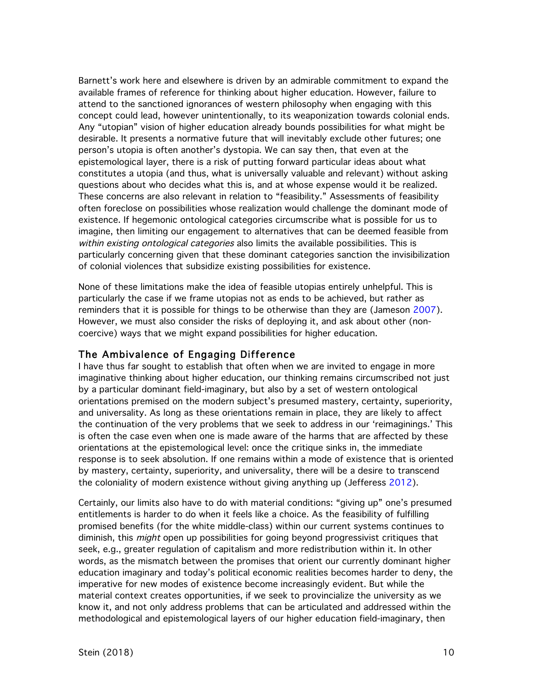Barnett's work here and elsewhere is driven by an admirable commitment to expand the available frames of reference for thinking about higher education. However, failure to attend to the sanctioned ignorances of western philosophy when engaging with this concept could lead, however unintentionally, to its weaponization towards colonial ends. Any "utopian" vision of higher education already bounds possibilities for what might be desirable. It presents a normative future that will inevitably exclude other futures; one person's utopia is often another's dystopia. We can say then, that even at the epistemological layer, there is a risk of putting forward particular ideas about what constitutes a utopia (and thus, what is universally valuable and relevant) without asking questions about who decides what this is, and at whose expense would it be realized. These concerns are also relevant in relation to "feasibility." Assessments of feasibility often foreclose on possibilities whose realization would challenge the dominant mode of existence. If hegemonic ontological categories circumscribe what is possible for us to imagine, then limiting our engagement to alternatives that can be deemed feasible from within existing ontological categories also limits the available possibilities. This is particularly concerning given that these dominant categories sanction the invisibilization of colonial violences that subsidize existing possibilities for existence.

None of these limitations make the idea of feasible utopias entirely unhelpful. This is particularly the case if we frame utopias not as ends to be achieved, but rather as reminders that it is possible for things to be otherwise than they are (Jameson 2007). However, we must also consider the risks of deploying it, and ask about other (noncoercive) ways that we might expand possibilities for higher education.

# The Ambivalence of Engaging Difference

I have thus far sought to establish that often when we are invited to engage in more imaginative thinking about higher education, our thinking remains circumscribed not just by a particular dominant field-imaginary, but also by a set of western ontological orientations premised on the modern subject's presumed mastery, certainty, superiority, and universality. As long as these orientations remain in place, they are likely to affect the continuation of the very problems that we seek to address in our 'reimaginings.' This is often the case even when one is made aware of the harms that are affected by these orientations at the epistemological level: once the critique sinks in, the immediate response is to seek absolution. If one remains within a mode of existence that is oriented by mastery, certainty, superiority, and universality, there will be a desire to transcend the coloniality of modern existence without giving anything up (Jefferess 2012).

Certainly, our limits also have to do with material conditions: "giving up" one's presumed entitlements is harder to do when it feels like a choice. As the feasibility of fulfilling promised benefits (for the white middle-class) within our current systems continues to diminish, this *might* open up possibilities for going beyond progressivist critiques that seek, e.g., greater regulation of capitalism and more redistribution within it. In other words, as the mismatch between the promises that orient our currently dominant higher education imaginary and today's political economic realities becomes harder to deny, the imperative for new modes of existence become increasingly evident. But while the material context creates opportunities, if we seek to provincialize the university as we know it, and not only address problems that can be articulated and addressed within the methodological and epistemological layers of our higher education field-imaginary, then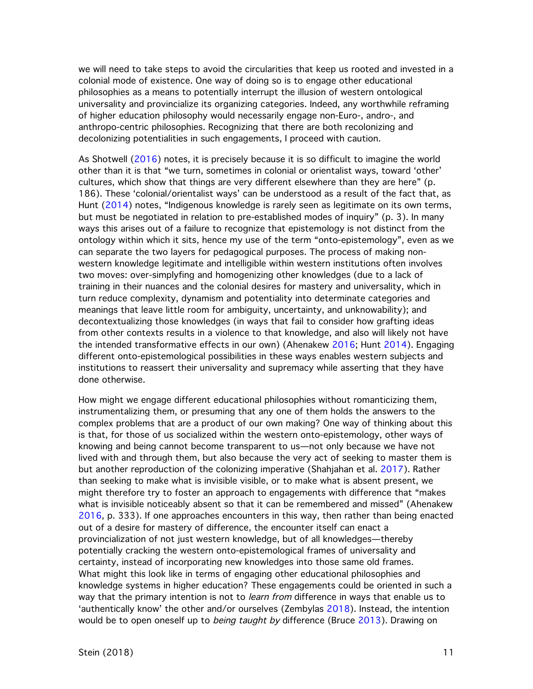we will need to take steps to avoid the circularities that keep us rooted and invested in a colonial mode of existence. One way of doing so is to engage other educational philosophies as a means to potentially interrupt the illusion of western ontological universality and provincialize its organizing categories. Indeed, any worthwhile reframing of higher education philosophy would necessarily engage non-Euro-, andro-, and anthropo-centric philosophies. Recognizing that there are both recolonizing and decolonizing potentialities in such engagements, I proceed with caution.

As Shotwell (2016) notes, it is precisely because it is so difficult to imagine the world other than it is that "we turn, sometimes in colonial or orientalist ways, toward 'other' cultures, which show that things are very different elsewhere than they are here" (p. 186). These 'colonial/orientalist ways' can be understood as a result of the fact that, as Hunt (2014) notes, "Indigenous knowledge is rarely seen as legitimate on its own terms, but must be negotiated in relation to pre-established modes of inquiry" (p. 3). In many ways this arises out of a failure to recognize that epistemology is not distinct from the ontology within which it sits, hence my use of the term "onto-epistemology", even as we can separate the two layers for pedagogical purposes. The process of making nonwestern knowledge legitimate and intelligible within western institutions often involves two moves: over-simplyfing and homogenizing other knowledges (due to a lack of training in their nuances and the colonial desires for mastery and universality, which in turn reduce complexity, dynamism and potentiality into determinate categories and meanings that leave little room for ambiguity, uncertainty, and unknowability); and decontextualizing those knowledges (in ways that fail to consider how grafting ideas from other contexts results in a violence to that knowledge, and also will likely not have the intended transformative effects in our own) (Ahenakew 2016; Hunt 2014). Engaging different onto-epistemological possibilities in these ways enables western subjects and institutions to reassert their universality and supremacy while asserting that they have done otherwise.

How might we engage different educational philosophies without romanticizing them, instrumentalizing them, or presuming that any one of them holds the answers to the complex problems that are a product of our own making? One way of thinking about this is that, for those of us socialized within the western onto-epistemology, other ways of knowing and being cannot become transparent to us—not only because we have not lived with and through them, but also because the very act of seeking to master them is but another reproduction of the colonizing imperative (Shahjahan et al. 2017). Rather than seeking to make what is invisible visible, or to make what is absent present, we might therefore try to foster an approach to engagements with difference that "makes what is invisible noticeably absent so that it can be remembered and missed" (Ahenakew 2016, p. 333). If one approaches encounters in this way, then rather than being enacted out of a desire for mastery of difference, the encounter itself can enact a provincialization of not just western knowledge, but of all knowledges—thereby potentially cracking the western onto-epistemological frames of universality and certainty, instead of incorporating new knowledges into those same old frames. What might this look like in terms of engaging other educational philosophies and knowledge systems in higher education? These engagements could be oriented in such a way that the primary intention is not to *learn from* difference in ways that enable us to 'authentically know' the other and/or ourselves (Zembylas 2018). Instead, the intention would be to open oneself up to *being taught by* difference (Bruce 2013). Drawing on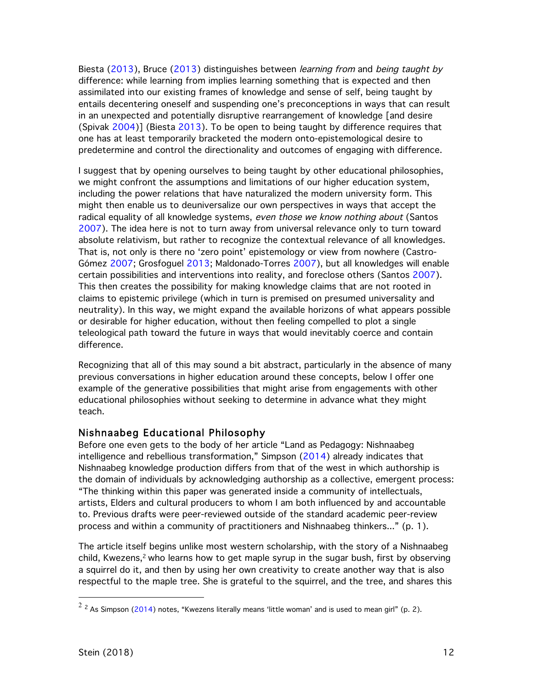Biesta (2013), Bruce (2013) distinguishes between *learning from* and *being taught by* difference: while learning from implies learning something that is expected and then assimilated into our existing frames of knowledge and sense of self, being taught by entails decentering oneself and suspending one's preconceptions in ways that can result in an unexpected and potentially disruptive rearrangement of knowledge [and desire (Spivak 2004)] (Biesta 2013). To be open to being taught by difference requires that one has at least temporarily bracketed the modern onto-epistemological desire to predetermine and control the directionality and outcomes of engaging with difference.

I suggest that by opening ourselves to being taught by other educational philosophies, we might confront the assumptions and limitations of our higher education system, including the power relations that have naturalized the modern university form. This might then enable us to deuniversalize our own perspectives in ways that accept the radical equality of all knowledge systems, even those we know nothing about (Santos 2007). The idea here is not to turn away from universal relevance only to turn toward absolute relativism, but rather to recognize the contextual relevance of all knowledges. That is, not only is there no 'zero point' epistemology or view from nowhere (Castro-Gómez 2007; Grosfoguel 2013; Maldonado-Torres 2007), but all knowledges will enable certain possibilities and interventions into reality, and foreclose others (Santos 2007). This then creates the possibility for making knowledge claims that are not rooted in claims to epistemic privilege (which in turn is premised on presumed universality and neutrality). In this way, we might expand the available horizons of what appears possible or desirable for higher education, without then feeling compelled to plot a single teleological path toward the future in ways that would inevitably coerce and contain difference.

Recognizing that all of this may sound a bit abstract, particularly in the absence of many previous conversations in higher education around these concepts, below I offer one example of the generative possibilities that might arise from engagements with other educational philosophies without seeking to determine in advance what they might teach.

# Nishnaabeg Educational Philosophy

Before one even gets to the body of her article "Land as Pedagogy: Nishnaabeg intelligence and rebellious transformation," Simpson (2014) already indicates that Nishnaabeg knowledge production differs from that of the west in which authorship is the domain of individuals by acknowledging authorship as a collective, emergent process: "The thinking within this paper was generated inside a community of intellectuals, artists, Elders and cultural producers to whom I am both influenced by and accountable to. Previous drafts were peer-reviewed outside of the standard academic peer-review process and within a community of practitioners and Nishnaabeg thinkers..." (p. 1).

The article itself begins unlike most western scholarship, with the story of a Nishnaabeg child, Kwezens,<sup>2</sup> who learns how to get maple syrup in the sugar bush, first by observing a squirrel do it, and then by using her own creativity to create another way that is also respectful to the maple tree. She is grateful to the squirrel, and the tree, and shares this

 $2^{2}$  As Simpson (2014) notes, "Kwezens literally means 'little woman' and is used to mean girl" (p. 2).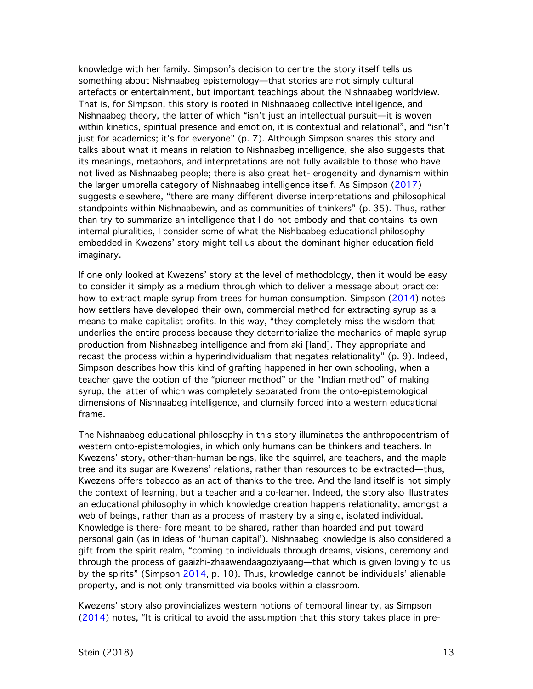knowledge with her family. Simpson's decision to centre the story itself tells us something about Nishnaabeg epistemology—that stories are not simply cultural artefacts or entertainment, but important teachings about the Nishnaabeg worldview. That is, for Simpson, this story is rooted in Nishnaabeg collective intelligence, and Nishnaabeg theory, the latter of which "isn't just an intellectual pursuit—it is woven within kinetics, spiritual presence and emotion, it is contextual and relational", and "isn't just for academics; it's for everyone" (p. 7). Although Simpson shares this story and talks about what it means in relation to Nishnaabeg intelligence, she also suggests that its meanings, metaphors, and interpretations are not fully available to those who have not lived as Nishnaabeg people; there is also great het- erogeneity and dynamism within the larger umbrella category of Nishnaabeg intelligence itself. As Simpson (2017) suggests elsewhere, "there are many different diverse interpretations and philosophical standpoints within Nishnaabewin, and as communities of thinkers" (p. 35). Thus, rather than try to summarize an intelligence that I do not embody and that contains its own internal pluralities, I consider some of what the Nishbaabeg educational philosophy embedded in Kwezens' story might tell us about the dominant higher education fieldimaginary.

If one only looked at Kwezens' story at the level of methodology, then it would be easy to consider it simply as a medium through which to deliver a message about practice: how to extract maple syrup from trees for human consumption. Simpson (2014) notes how settlers have developed their own, commercial method for extracting syrup as a means to make capitalist profits. In this way, "they completely miss the wisdom that underlies the entire process because they deterritorialize the mechanics of maple syrup production from Nishnaabeg intelligence and from aki [land]. They appropriate and recast the process within a hyperindividualism that negates relationality" (p. 9). Indeed, Simpson describes how this kind of grafting happened in her own schooling, when a teacher gave the option of the "pioneer method" or the "Indian method" of making syrup, the latter of which was completely separated from the onto-epistemological dimensions of Nishnaabeg intelligence, and clumsily forced into a western educational frame.

The Nishnaabeg educational philosophy in this story illuminates the anthropocentrism of western onto-epistemologies, in which only humans can be thinkers and teachers. In Kwezens' story, other-than-human beings, like the squirrel, are teachers, and the maple tree and its sugar are Kwezens' relations, rather than resources to be extracted—thus, Kwezens offers tobacco as an act of thanks to the tree. And the land itself is not simply the context of learning, but a teacher and a co-learner. Indeed, the story also illustrates an educational philosophy in which knowledge creation happens relationality, amongst a web of beings, rather than as a process of mastery by a single, isolated individual. Knowledge is there- fore meant to be shared, rather than hoarded and put toward personal gain (as in ideas of 'human capital'). Nishnaabeg knowledge is also considered a gift from the spirit realm, "coming to individuals through dreams, visions, ceremony and through the process of gaaizhi-zhaawendaagoziyaang—that which is given lovingly to us by the spirits" (Simpson 2014, p. 10). Thus, knowledge cannot be individuals' alienable property, and is not only transmitted via books within a classroom.

Kwezens' story also provincializes western notions of temporal linearity, as Simpson (2014) notes, "It is critical to avoid the assumption that this story takes place in pre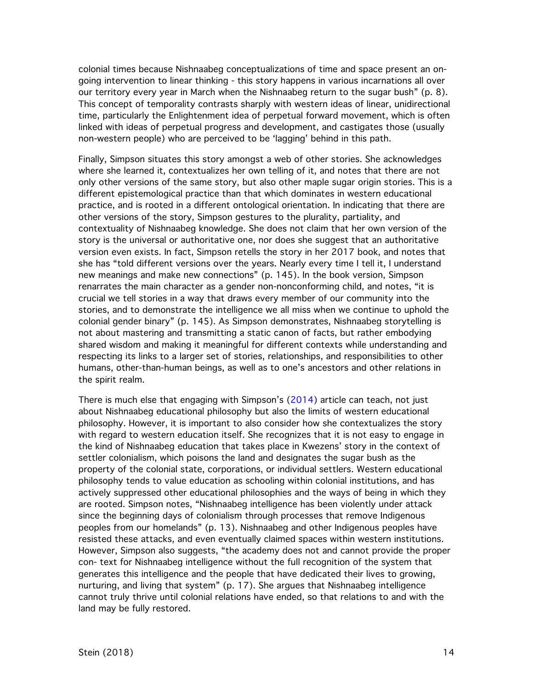colonial times because Nishnaabeg conceptualizations of time and space present an ongoing intervention to linear thinking - this story happens in various incarnations all over our territory every year in March when the Nishnaabeg return to the sugar bush" (p. 8). This concept of temporality contrasts sharply with western ideas of linear, unidirectional time, particularly the Enlightenment idea of perpetual forward movement, which is often linked with ideas of perpetual progress and development, and castigates those (usually non-western people) who are perceived to be 'lagging' behind in this path.

Finally, Simpson situates this story amongst a web of other stories. She acknowledges where she learned it, contextualizes her own telling of it, and notes that there are not only other versions of the same story, but also other maple sugar origin stories. This is a different epistemological practice than that which dominates in western educational practice, and is rooted in a different ontological orientation. In indicating that there are other versions of the story, Simpson gestures to the plurality, partiality, and contextuality of Nishnaabeg knowledge. She does not claim that her own version of the story is the universal or authoritative one, nor does she suggest that an authoritative version even exists. In fact, Simpson retells the story in her 2017 book, and notes that she has "told different versions over the years. Nearly every time I tell it, I understand new meanings and make new connections" (p. 145). In the book version, Simpson renarrates the main character as a gender non-nonconforming child, and notes, "it is crucial we tell stories in a way that draws every member of our community into the stories, and to demonstrate the intelligence we all miss when we continue to uphold the colonial gender binary" (p. 145). As Simpson demonstrates, Nishnaabeg storytelling is not about mastering and transmitting a static canon of facts, but rather embodying shared wisdom and making it meaningful for different contexts while understanding and respecting its links to a larger set of stories, relationships, and responsibilities to other humans, other-than-human beings, as well as to one's ancestors and other relations in the spirit realm.

There is much else that engaging with Simpson's (2014) article can teach, not just about Nishnaabeg educational philosophy but also the limits of western educational philosophy. However, it is important to also consider how she contextualizes the story with regard to western education itself. She recognizes that it is not easy to engage in the kind of Nishnaabeg education that takes place in Kwezens' story in the context of settler colonialism, which poisons the land and designates the sugar bush as the property of the colonial state, corporations, or individual settlers. Western educational philosophy tends to value education as schooling within colonial institutions, and has actively suppressed other educational philosophies and the ways of being in which they are rooted. Simpson notes, "Nishnaabeg intelligence has been violently under attack since the beginning days of colonialism through processes that remove Indigenous peoples from our homelands" (p. 13). Nishnaabeg and other Indigenous peoples have resisted these attacks, and even eventually claimed spaces within western institutions. However, Simpson also suggests, "the academy does not and cannot provide the proper con- text for Nishnaabeg intelligence without the full recognition of the system that generates this intelligence and the people that have dedicated their lives to growing, nurturing, and living that system" (p. 17). She argues that Nishnaabeg intelligence cannot truly thrive until colonial relations have ended, so that relations to and with the land may be fully restored.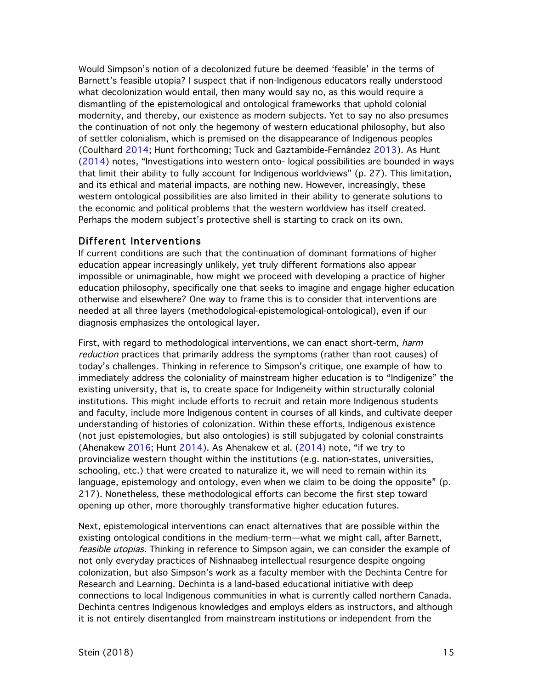Would Simpson's notion of a decolonized future be deemed 'feasible' in the terms of Barnett's feasible utopia? I suspect that if non-Indigenous educators really understood what decolonization would entail, then many would say no, as this would require a dismantling of the epistemological and ontological frameworks that uphold colonial modernity, and thereby, our existence as modern subjects. Yet to say no also presumes the continuation of not only the hegemony of western educational philosophy, but also of settler colonialism, which is premised on the disappearance of Indigenous peoples (Coulthard 2014; Hunt forthcoming; Tuck and Gaztambide-Fernández 2013). As Hunt (2014) notes, "Investigations into western onto- logical possibilities are bounded in ways that limit their ability to fully account for Indigenous worldviews" (p. 27). This limitation, and its ethical and material impacts, are nothing new. However, increasingly, these western ontological possibilities are also limited in their ability to generate solutions to the economic and political problems that the western worldview has itself created. Perhaps the modern subject's protective shell is starting to crack on its own.

#### Different Interventions

If current conditions are such that the continuation of dominant formations of higher education appear increasingly unlikely, yet truly different formations also appear impossible or unimaginable, how might we proceed with developing a practice of higher education philosophy, specifically one that seeks to imagine and engage higher education otherwise and elsewhere? One way to frame this is to consider that interventions are needed at all three layers (methodological-epistemological-ontological), even if our diagnosis emphasizes the ontological layer.

First, with regard to methodological interventions, we can enact short-term, harm reduction practices that primarily address the symptoms (rather than root causes) of today's challenges. Thinking in reference to Simpson's critique, one example of how to immediately address the coloniality of mainstream higher education is to "Indigenize" the existing university, that is, to create space for Indigeneity within structurally colonial institutions. This might include efforts to recruit and retain more Indigenous students and faculty, include more Indigenous content in courses of all kinds, and cultivate deeper understanding of histories of colonization. Within these efforts, Indigenous existence (not just epistemologies, but also ontologies) is still subjugated by colonial constraints (Ahenakew 2016; Hunt 2014). As Ahenakew et al. (2014) note, "if we try to provincialize western thought within the institutions (e.g. nation-states, universities, schooling, etc.) that were created to naturalize it, we will need to remain within its language, epistemology and ontology, even when we claim to be doing the opposite" (p. 217). Nonetheless, these methodological efforts can become the first step toward opening up other, more thoroughly transformative higher education futures.

Next, epistemological interventions can enact alternatives that are possible within the existing ontological conditions in the medium-term—what we might call, after Barnett, feasible utopias. Thinking in reference to Simpson again, we can consider the example of not only everyday practices of Nishnaabeg intellectual resurgence despite ongoing colonization, but also Simpson's work as a faculty member with the Dechinta Centre for Research and Learning. Dechinta is a land-based educational initiative with deep connections to local Indigenous communities in what is currently called northern Canada. Dechinta centres Indigenous knowledges and employs elders as instructors, and although it is not entirely disentangled from mainstream institutions or independent from the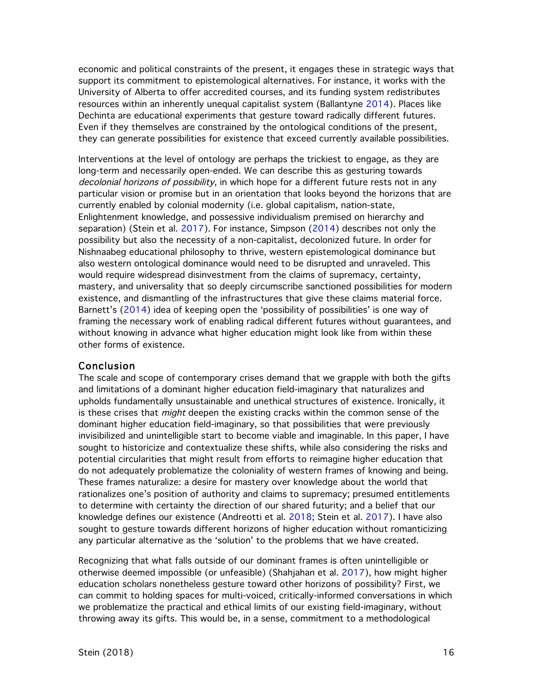economic and political constraints of the present, it engages these in strategic ways that support its commitment to epistemological alternatives. For instance, it works with the University of Alberta to offer accredited courses, and its funding system redistributes resources within an inherently unequal capitalist system (Ballantyne 2014). Places like Dechinta are educational experiments that gesture toward radically different futures. Even if they themselves are constrained by the ontological conditions of the present, they can generate possibilities for existence that exceed currently available possibilities.

Interventions at the level of ontology are perhaps the trickiest to engage, as they are long-term and necessarily open-ended. We can describe this as gesturing towards decolonial horizons of possibility, in which hope for a different future rests not in any particular vision or promise but in an orientation that looks beyond the horizons that are currently enabled by colonial modernity (i.e. global capitalism, nation-state, Enlightenment knowledge, and possessive individualism premised on hierarchy and separation) (Stein et al. 2017). For instance, Simpson (2014) describes not only the possibility but also the necessity of a non-capitalist, decolonized future. In order for Nishnaabeg educational philosophy to thrive, western epistemological dominance but also western ontological dominance would need to be disrupted and unraveled. This would require widespread disinvestment from the claims of supremacy, certainty, mastery, and universality that so deeply circumscribe sanctioned possibilities for modern existence, and dismantling of the infrastructures that give these claims material force. Barnett's (2014) idea of keeping open the 'possibility of possibilities' is one way of framing the necessary work of enabling radical different futures without guarantees, and without knowing in advance what higher education might look like from within these other forms of existence.

# Conclusion

The scale and scope of contemporary crises demand that we grapple with both the gifts and limitations of a dominant higher education field-imaginary that naturalizes and upholds fundamentally unsustainable and unethical structures of existence. Ironically, it is these crises that *might* deepen the existing cracks within the common sense of the dominant higher education field-imaginary, so that possibilities that were previously invisibilized and unintelligible start to become viable and imaginable. In this paper, I have sought to historicize and contextualize these shifts, while also considering the risks and potential circularities that might result from efforts to reimagine higher education that do not adequately problematize the coloniality of western frames of knowing and being. These frames naturalize: a desire for mastery over knowledge about the world that rationalizes one's position of authority and claims to supremacy; presumed entitlements to determine with certainty the direction of our shared futurity; and a belief that our knowledge defines our existence (Andreotti et al. 2018; Stein et al. 2017). I have also sought to gesture towards different horizons of higher education without romanticizing any particular alternative as the 'solution' to the problems that we have created.

Recognizing that what falls outside of our dominant frames is often unintelligible or otherwise deemed impossible (or unfeasible) (Shahjahan et al. 2017), how might higher education scholars nonetheless gesture toward other horizons of possibility? First, we can commit to holding spaces for multi-voiced, critically-informed conversations in which we problematize the practical and ethical limits of our existing field-imaginary, without throwing away its gifts. This would be, in a sense, commitment to a methodological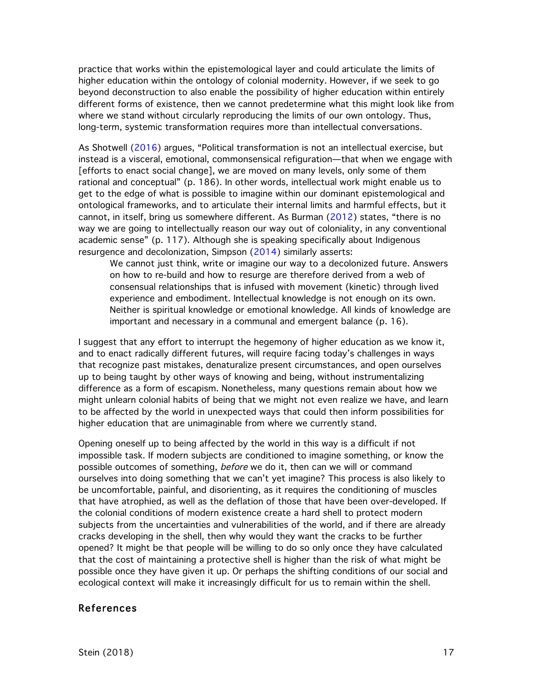practice that works within the epistemological layer and could articulate the limits of higher education within the ontology of colonial modernity. However, if we seek to go beyond deconstruction to also enable the possibility of higher education within entirely different forms of existence, then we cannot predetermine what this might look like from where we stand without circularly reproducing the limits of our own ontology. Thus, long-term, systemic transformation requires more than intellectual conversations.

As Shotwell (2016) argues, "Political transformation is not an intellectual exercise, but instead is a visceral, emotional, commonsensical refiguration—that when we engage with [efforts to enact social change], we are moved on many levels, only some of them rational and conceptual" (p. 186). In other words, intellectual work might enable us to get to the edge of what is possible to imagine within our dominant epistemological and ontological frameworks, and to articulate their internal limits and harmful effects, but it cannot, in itself, bring us somewhere different. As Burman (2012) states, "there is no way we are going to intellectually reason our way out of coloniality, in any conventional academic sense" (p. 117). Although she is speaking specifically about Indigenous resurgence and decolonization, Simpson (2014) similarly asserts:

We cannot just think, write or imagine our way to a decolonized future. Answers on how to re-build and how to resurge are therefore derived from a web of consensual relationships that is infused with movement (kinetic) through lived experience and embodiment. Intellectual knowledge is not enough on its own. Neither is spiritual knowledge or emotional knowledge. All kinds of knowledge are important and necessary in a communal and emergent balance (p. 16).

I suggest that any effort to interrupt the hegemony of higher education as we know it, and to enact radically different futures, will require facing today's challenges in ways that recognize past mistakes, denaturalize present circumstances, and open ourselves up to being taught by other ways of knowing and being, without instrumentalizing difference as a form of escapism. Nonetheless, many questions remain about how we might unlearn colonial habits of being that we might not even realize we have, and learn to be affected by the world in unexpected ways that could then inform possibilities for higher education that are unimaginable from where we currently stand.

Opening oneself up to being affected by the world in this way is a difficult if not impossible task. If modern subjects are conditioned to imagine something, or know the possible outcomes of something, before we do it, then can we will or command ourselves into doing something that we can't yet imagine? This process is also likely to be uncomfortable, painful, and disorienting, as it requires the conditioning of muscles that have atrophied, as well as the deflation of those that have been over-developed. If the colonial conditions of modern existence create a hard shell to protect modern subjects from the uncertainties and vulnerabilities of the world, and if there are already cracks developing in the shell, then why would they want the cracks to be further opened? It might be that people will be willing to do so only once they have calculated that the cost of maintaining a protective shell is higher than the risk of what might be possible once they have given it up. Or perhaps the shifting conditions of our social and ecological context will make it increasingly difficult for us to remain within the shell.

# References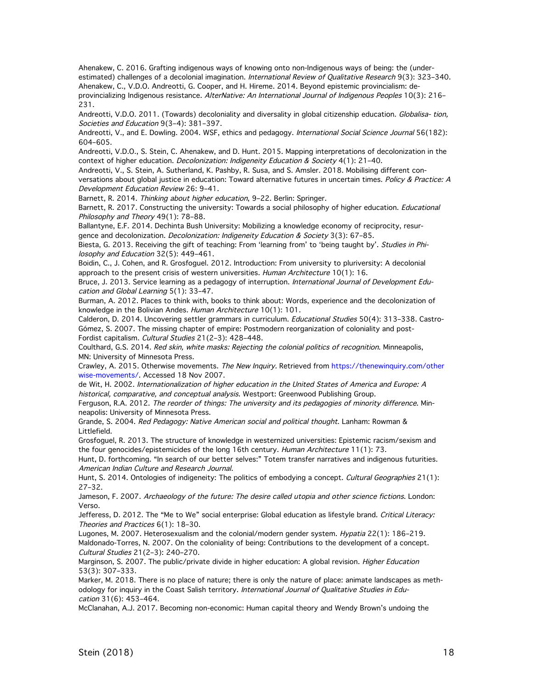Ahenakew, C. 2016. Grafting indigenous ways of knowing onto non-Indigenous ways of being: the (underestimated) challenges of a decolonial imagination. International Review of Qualitative Research 9(3): 323-340. Ahenakew, C., V.D.O. Andreotti, G. Cooper, and H. Hireme. 2014. Beyond epistemic provincialism: deprovincializing Indigenous resistance. AlterNative: An International Journal of Indigenous Peoples 10(3): 216-231.

Andreotti, V.D.O. 2011. (Towards) decoloniality and diversality in global citizenship education. Globalisa- tion, Societies and Education 9(3–4): 381–397.

Andreotti, V., and E. Dowling. 2004. WSF, ethics and pedagogy. International Social Science Journal 56(182): 604–605.

Andreotti, V.D.O., S. Stein, C. Ahenakew, and D. Hunt. 2015. Mapping interpretations of decolonization in the context of higher education. *Decolonization: Indigeneity Education & Society* 4(1): 21-40.

Andreotti, V., S. Stein, A. Sutherland, K. Pashby, R. Susa, and S. Amsler. 2018. Mobilising different conversations about global justice in education: Toward alternative futures in uncertain times. Policy & Practice: A Development Education Review 26: 9–41.

Barnett, R. 2014. Thinking about higher education, 9–22. Berlin: Springer.

Barnett, R. 2017. Constructing the university: Towards a social philosophy of higher education. Educational Philosophy and Theory 49(1): 78–88.

Ballantyne, E.F. 2014. Dechinta Bush University: Mobilizing a knowledge economy of reciprocity, resurgence and decolonization. Decolonization: Indigeneity Education & Society 3(3): 67–85.

Biesta, G. 2013. Receiving the gift of teaching: From 'learning from' to 'being taught by'. Studies in Philosophy and Education 32(5): 449–461.

Boidin, C., J. Cohen, and R. Grosfoguel. 2012. Introduction: From university to pluriversity: A decolonial approach to the present crisis of western universities. Human Architecture 10(1): 16.

Bruce, J. 2013. Service learning as a pedagogy of interruption. International Journal of Development Education and Global Learning 5(1): 33–47.

Burman, A. 2012. Places to think with, books to think about: Words, experience and the decolonization of knowledge in the Bolivian Andes. Human Architecture 10(1): 101.

Calderon, D. 2014. Uncovering settler grammars in curriculum. Educational Studies 50(4): 313-338. Castro-Gómez, S. 2007. The missing chapter of empire: Postmodern reorganization of coloniality and post-Fordist capitalism. Cultural Studies 21(2–3): 428–448.

Coulthard, G.S. 2014. Red skin, white masks: Rejecting the colonial politics of recognition. Minneapolis, MN: University of Minnesota Press.

Crawley, A. 2015. Otherwise movements. The New Inquiry. Retrieved from https://thenewinquiry.com/other wise-movements/. Accessed 18 Nov 2007.

de Wit, H. 2002. Internationalization of higher education in the United States of America and Europe: A historical, comparative, and conceptual analysis. Westport: Greenwood Publishing Group.

Ferguson, R.A. 2012. The reorder of things: The university and its pedagogies of minority difference. Minneapolis: University of Minnesota Press.

Grande, S. 2004. Red Pedagogy: Native American social and political thought. Lanham: Rowman & Littlefield.

Grosfoguel, R. 2013. The structure of knowledge in westernized universities: Epistemic racism/sexism and the four genocides/epistemicides of the long 16th century. Human Architecture 11(1): 73.

Hunt, D. forthcoming. "In search of our better selves:" Totem transfer narratives and indigenous futurities. American Indian Culture and Research Journal.

Hunt, S. 2014. Ontologies of indigeneity: The politics of embodying a concept. Cultural Geographies 21(1): 27–32.

Jameson, F. 2007. Archaeology of the future: The desire called utopia and other science fictions. London: Verso.

Jefferess, D. 2012. The "Me to We" social enterprise: Global education as lifestyle brand. Critical Literacy: Theories and Practices 6(1): 18–30.

Lugones, M. 2007. Heterosexualism and the colonial/modern gender system. Hypatia 22(1): 186-219. Maldonado-Torres, N. 2007. On the coloniality of being: Contributions to the development of a concept. Cultural Studies 21(2–3): 240–270.

Marginson, S. 2007. The public/private divide in higher education: A global revision. Higher Education 53(3): 307–333.

Marker, M. 2018. There is no place of nature; there is only the nature of place: animate landscapes as methodology for inquiry in the Coast Salish territory. International Journal of Qualitative Studies in Education 31(6): 453–464.

McClanahan, A.J. 2017. Becoming non-economic: Human capital theory and Wendy Brown's undoing the